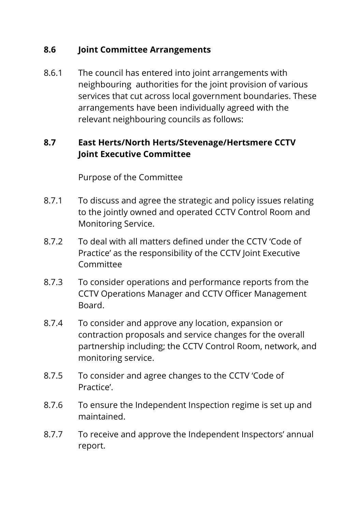## **8.6 Joint Committee Arrangements**

8.6.1 The council has entered into joint arrangements with neighbouring authorities for the joint provision of various services that cut across local government boundaries. These arrangements have been individually agreed with the relevant neighbouring councils as follows:

# **8.7 East Herts/North Herts/Stevenage/Hertsmere CCTV Joint Executive Committee**

Purpose of the Committee

- 8.7.1 To discuss and agree the strategic and policy issues relating to the jointly owned and operated CCTV Control Room and Monitoring Service.
- 8.7.2 To deal with all matters defined under the CCTV 'Code of Practice' as the responsibility of the CCTV Joint Executive Committee
- 8.7.3 To consider operations and performance reports from the CCTV Operations Manager and CCTV Officer Management Board.
- 8.7.4 To consider and approve any location, expansion or contraction proposals and service changes for the overall partnership including; the CCTV Control Room, network, and monitoring service.
- 8.7.5 To consider and agree changes to the CCTV 'Code of Practice'.
- 8.7.6 To ensure the Independent Inspection regime is set up and maintained.
- 8.7.7 To receive and approve the Independent Inspectors' annual report.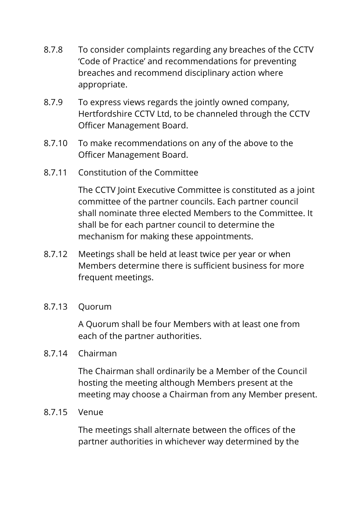- 8.7.8 To consider complaints regarding any breaches of the CCTV 'Code of Practice' and recommendations for preventing breaches and recommend disciplinary action where appropriate.
- 8.7.9 To express views regards the jointly owned company, Hertfordshire CCTV Ltd, to be channeled through the CCTV Officer Management Board.
- 8.7.10 To make recommendations on any of the above to the Officer Management Board.
- 8.7.11 Constitution of the Committee

The CCTV Joint Executive Committee is constituted as a joint committee of the partner councils. Each partner council shall nominate three elected Members to the Committee. It shall be for each partner council to determine the mechanism for making these appointments.

- 8.7.12 Meetings shall be held at least twice per year or when Members determine there is sufficient business for more frequent meetings.
- 8.7.13 Quorum

A Quorum shall be four Members with at least one from each of the partner authorities.

8.7.14 Chairman

The Chairman shall ordinarily be a Member of the Council hosting the meeting although Members present at the meeting may choose a Chairman from any Member present.

8.7.15 Venue

The meetings shall alternate between the offices of the partner authorities in whichever way determined by the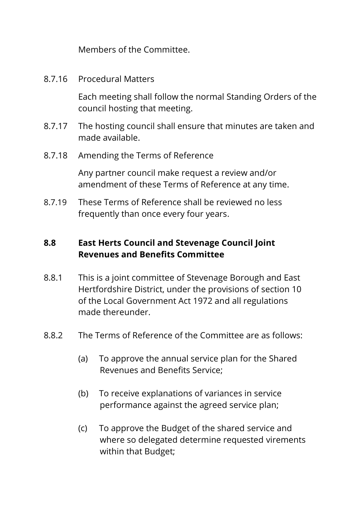Members of the Committee.

8.7.16 Procedural Matters

Each meeting shall follow the normal Standing Orders of the council hosting that meeting.

- 8.7.17 The hosting council shall ensure that minutes are taken and made available.
- 8.7.18 Amending the Terms of Reference

Any partner council make request a review and/or amendment of these Terms of Reference at any time.

8.7.19 These Terms of Reference shall be reviewed no less frequently than once every four years.

# **8.8 East Herts Council and Stevenage Council Joint Revenues and Benefits Committee**

- 8.8.1 This is a joint committee of Stevenage Borough and East Hertfordshire District, under the provisions of section 10 of the Local Government Act 1972 and all regulations made thereunder.
- 8.8.2 The Terms of Reference of the Committee are as follows:
	- (a) To approve the annual service plan for the Shared Revenues and Benefits Service;
	- (b) To receive explanations of variances in service performance against the agreed service plan;
	- (c) To approve the Budget of the shared service and where so delegated determine requested virements within that Budget;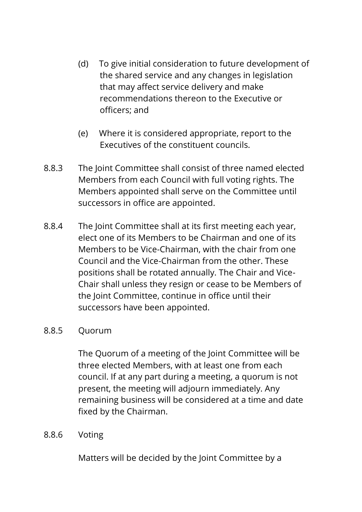- (d) To give initial consideration to future development of the shared service and any changes in legislation that may affect service delivery and make recommendations thereon to the Executive or officers; and
- (e) Where it is considered appropriate, report to the Executives of the constituent councils.
- 8.8.3 The Joint Committee shall consist of three named elected Members from each Council with full voting rights. The Members appointed shall serve on the Committee until successors in office are appointed.
- 8.8.4 The Joint Committee shall at its first meeting each year, elect one of its Members to be Chairman and one of its Members to be Vice-Chairman, with the chair from one Council and the Vice-Chairman from the other. These positions shall be rotated annually. The Chair and Vice-Chair shall unless they resign or cease to be Members of the Joint Committee, continue in office until their successors have been appointed.

### 8.8.5 Quorum

The Quorum of a meeting of the Joint Committee will be three elected Members, with at least one from each council. If at any part during a meeting, a quorum is not present, the meeting will adjourn immediately. Any remaining business will be considered at a time and date fixed by the Chairman.

### 8.8.6 Voting

Matters will be decided by the Joint Committee by a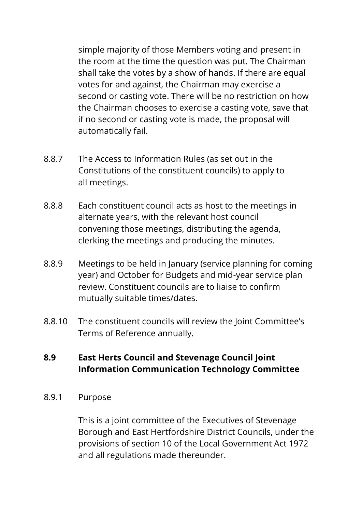simple majority of those Members voting and present in the room at the time the question was put. The Chairman shall take the votes by a show of hands. If there are equal votes for and against, the Chairman may exercise a second or casting vote. There will be no restriction on how the Chairman chooses to exercise a casting vote, save that if no second or casting vote is made, the proposal will automatically fail.

- 8.8.7 The Access to Information Rules (as set out in the Constitutions of the constituent councils) to apply to all meetings.
- 8.8.8 Each constituent council acts as host to the meetings in alternate years, with the relevant host council convening those meetings, distributing the agenda, clerking the meetings and producing the minutes.
- 8.8.9 Meetings to be held in January (service planning for coming year) and October for Budgets and mid-year service plan review. Constituent councils are to liaise to confirm mutually suitable times/dates.
- 8.8.10 The constituent councils will review the Joint Committee's Terms of Reference annually.

## **8.9 East Herts Council and Stevenage Council Joint Information Communication Technology Committee**

8.9.1 Purpose

This is a joint committee of the Executives of Stevenage Borough and East Hertfordshire District Councils, under the provisions of section 10 of the Local Government Act 1972 and all regulations made thereunder.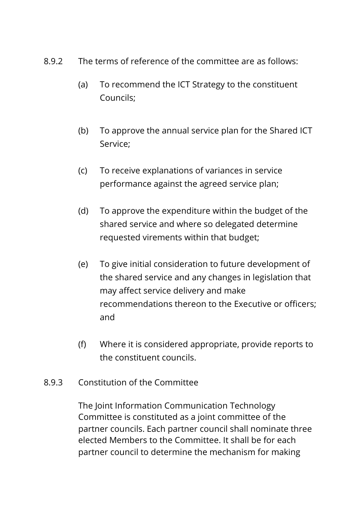- 8.9.2 The terms of reference of the committee are as follows:
	- (a) To recommend the ICT Strategy to the constituent Councils;
	- (b) To approve the annual service plan for the Shared ICT Service;
	- (c) To receive explanations of variances in service performance against the agreed service plan;
	- (d) To approve the expenditure within the budget of the shared service and where so delegated determine requested virements within that budget;
	- (e) To give initial consideration to future development of the shared service and any changes in legislation that may affect service delivery and make recommendations thereon to the Executive or officers; and
	- (f) Where it is considered appropriate, provide reports to the constituent councils.
- 8.9.3 Constitution of the Committee

The Joint Information Communication Technology Committee is constituted as a joint committee of the partner councils. Each partner council shall nominate three elected Members to the Committee. It shall be for each partner council to determine the mechanism for making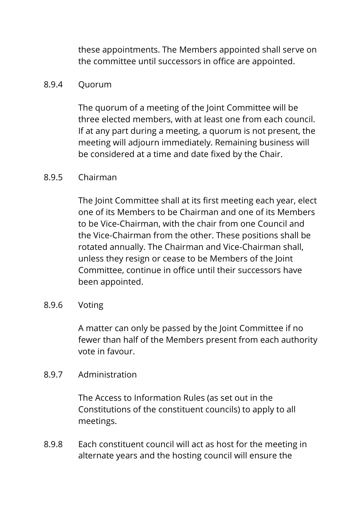these appointments. The Members appointed shall serve on the committee until successors in office are appointed.

#### 8.9.4 Quorum

The quorum of a meeting of the Joint Committee will be three elected members, with at least one from each council. If at any part during a meeting, a quorum is not present, the meeting will adjourn immediately. Remaining business will be considered at a time and date fixed by the Chair.

### 8.9.5 Chairman

The Joint Committee shall at its first meeting each year, elect one of its Members to be Chairman and one of its Members to be Vice-Chairman, with the chair from one Council and the Vice-Chairman from the other. These positions shall be rotated annually. The Chairman and Vice-Chairman shall, unless they resign or cease to be Members of the Joint Committee, continue in office until their successors have been appointed.

### 8.9.6 Voting

A matter can only be passed by the Joint Committee if no fewer than half of the Members present from each authority vote in favour.

### 8.9.7 Administration

The Access to Information Rules (as set out in the Constitutions of the constituent councils) to apply to all meetings.

8.9.8 Each constituent council will act as host for the meeting in alternate years and the hosting council will ensure the